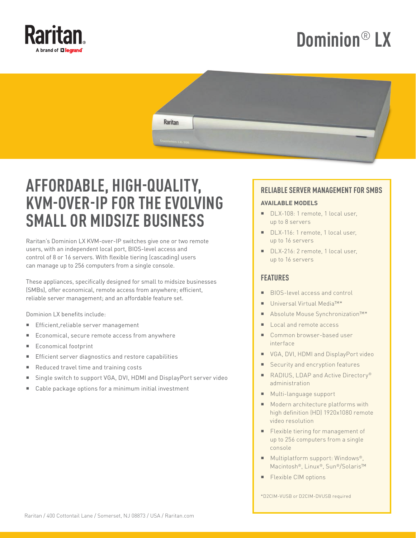

# **Dominion**® **LX**



## **AFFORDABLE, HIGH-QUALITY, KVM-OVER-IP FOR THE EVOLVING SMALL OR MIDSIZE BUSINESS**

Raritan's Dominion LX KVM-over-IP switches give one or two remote users, with an independent local port, BIOS-level access and control of 8 or 16 servers. With flexible tiering (cascading) users can manage up to 256 computers from a single console.

These appliances, specifically designed for small to midsize businesses (SMBs), offer economical, remote access from anywhere; efficient, reliable server management; and an affordable feature set.

Dominion LX benefits include:

- Efficient,reliable server management
- Economical, secure remote access from anywhere
- Economical footprint
- Efficient server diagnostics and restore capabilities
- Reduced travel time and training costs
- Single switch to support VGA, DVI, HDMI and DisplayPort server video
- Cable package options for a minimum initial investment

#### **RELIABLE SERVER MANAGEMENT FOR SMBS**

#### **AVAILABLE MODELS**

- DLX-108: 1 remote, 1 local user, up to 8 servers
- DLX-116: 1 remote, 1 local user, up to 16 servers
- DLX-216: 2 remote, 1 local user, up to 16 servers

#### **FEATURES**

- BIOS-level access and control
- Universal Virtual Media™\*
- Absolute Mouse Synchronization™\*
- Local and remote access
- Common browser-based user interface
- **VGA, DVI, HDMI and DisplayPort video**
- Security and encryption features
- RADIUS, LDAP and Active Directory<sup>®</sup> administration
- **Multi-language support**
- **Modern architecture platforms with** high definition (HD) 1920x1080 remote video resolution
- **Flexible tiering for management of** up to 256 computers from a single console
- Multiplatform support: Windows<sup>®</sup>, Macintosh®, Linux®, Sun®/Solaris™
- **Flexible CIM options**

\*D2CIM-VUSB or D2CIM-DVUSB required